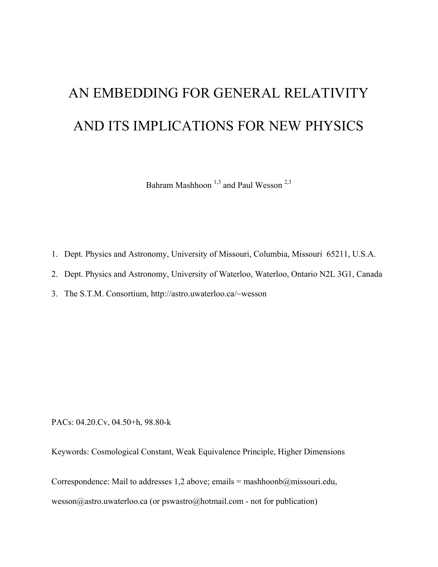# AN EMBEDDING FOR GENERAL RELATIVITY AND ITS IMPLICATIONS FOR NEW PHYSICS

Bahram Mashhoon<sup>1,3</sup> and Paul Wesson<sup>2,3</sup>

- 1. Dept. Physics and Astronomy, University of Missouri, Columbia, Missouri 65211, U.S.A.
- 2. Dept. Physics and Astronomy, University of Waterloo, Waterloo, Ontario N2L 3G1, Canada
- 3. The S.T.M. Consortium, http://astro.uwaterloo.ca/~wesson

PACs: 04.20.Cv, 04.50+h, 98.80-k

Keywords: Cosmological Constant, Weak Equivalence Principle, Higher Dimensions

Correspondence: Mail to addresses 1,2 above; emails = mashhoonb@missouri.edu,

wesson@astro.uwaterloo.ca (or pswastro@hotmail.com - not for publication)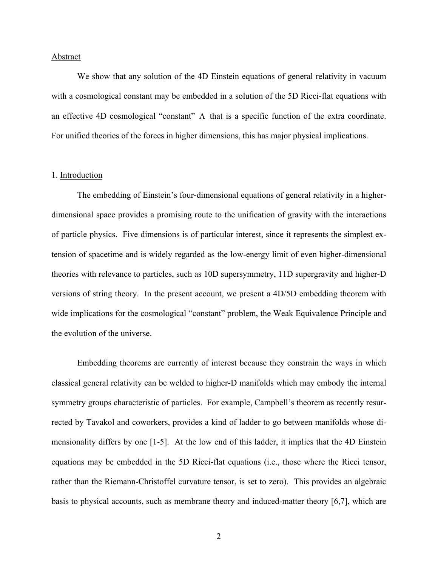### Abstract

We show that any solution of the 4D Einstein equations of general relativity in vacuum with a cosmological constant may be embedded in a solution of the 5D Ricci-flat equations with an effective 4D cosmological "constant" Λ that is a specific function of the extra coordinate. For unified theories of the forces in higher dimensions, this has major physical implications.

### 1. Introduction

The embedding of Einstein's four-dimensional equations of general relativity in a higherdimensional space provides a promising route to the unification of gravity with the interactions of particle physics. Five dimensions is of particular interest, since it represents the simplest extension of spacetime and is widely regarded as the low-energy limit of even higher-dimensional theories with relevance to particles, such as 10D supersymmetry, 11D supergravity and higher-D versions of string theory. In the present account, we present a 4D/5D embedding theorem with wide implications for the cosmological "constant" problem, the Weak Equivalence Principle and the evolution of the universe.

Embedding theorems are currently of interest because they constrain the ways in which classical general relativity can be welded to higher-D manifolds which may embody the internal symmetry groups characteristic of particles. For example, Campbell's theorem as recently resurrected by Tavakol and coworkers, provides a kind of ladder to go between manifolds whose dimensionality differs by one [1-5]. At the low end of this ladder, it implies that the 4D Einstein equations may be embedded in the 5D Ricci-flat equations (i.e., those where the Ricci tensor, rather than the Riemann-Christoffel curvature tensor, is set to zero). This provides an algebraic basis to physical accounts, such as membrane theory and induced-matter theory [6,7], which are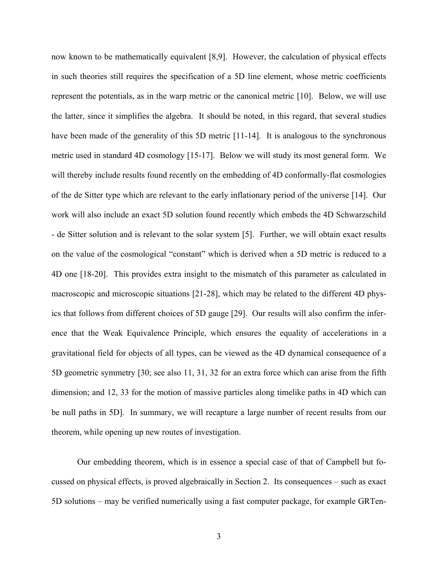now known to be mathematically equivalent [8,9]. However, the calculation of physical effects in such theories still requires the specification of a 5D line element, whose metric coefficients represent the potentials, as in the warp metric or the canonical metric [10]. Below, we will use the latter, since it simplifies the algebra. It should be noted, in this regard, that several studies have been made of the generality of this 5D metric [11-14]. It is analogous to the synchronous metric used in standard 4D cosmology [15-17]. Below we will study its most general form. We will thereby include results found recently on the embedding of 4D conformally-flat cosmologies of the de Sitter type which are relevant to the early inflationary period of the universe [14]. Our work will also include an exact 5D solution found recently which embeds the 4D Schwarzschild - de Sitter solution and is relevant to the solar system [5]. Further, we will obtain exact results on the value of the cosmological "constant" which is derived when a 5D metric is reduced to a 4D one [18-20]. This provides extra insight to the mismatch of this parameter as calculated in macroscopic and microscopic situations [21-28], which may be related to the different 4D physics that follows from different choices of 5D gauge [29]. Our results will also confirm the inference that the Weak Equivalence Principle, which ensures the equality of accelerations in a gravitational field for objects of all types, can be viewed as the 4D dynamical consequence of a 5D geometric symmetry [30; see also 11, 31, 32 for an extra force which can arise from the fifth dimension; and 12, 33 for the motion of massive particles along timelike paths in 4D which can be null paths in 5D]. In summary, we will recapture a large number of recent results from our theorem, while opening up new routes of investigation.

Our embedding theorem, which is in essence a special case of that of Campbell but focussed on physical effects, is proved algebraically in Section 2. Its consequences – such as exact 5D solutions – may be verified numerically using a fast computer package, for example GRTen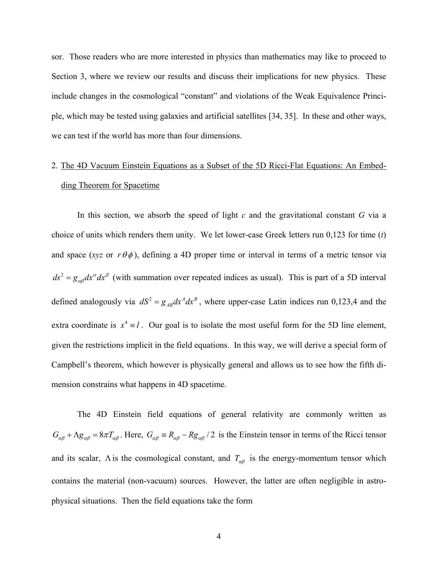sor. Those readers who are more interested in physics than mathematics may like to proceed to Section 3, where we review our results and discuss their implications for new physics. These include changes in the cosmological "constant" and violations of the Weak Equivalence Principle, which may be tested using galaxies and artificial satellites [34, 35]. In these and other ways, we can test if the world has more than four dimensions.

# 2. The 4D Vacuum Einstein Equations as a Subset of the 5D Ricci-Flat Equations: An Embedding Theorem for Spacetime

In this section, we absorb the speed of light *c* and the gravitational constant *G* via a choice of units which renders them unity. We let lower-case Greek letters run 0,123 for time (*t*) and space (*xyz* or  $r \theta \phi$ ), defining a 4D proper time or interval in terms of a metric tensor via  $ds^{2} = g_{\alpha\beta} dx^{\alpha} dx^{\beta}$  (with summation over repeated indices as usual). This is part of a 5D interval defined analogously via  $dS^2 = g_{AB} dx^A dx^B$ , where upper-case Latin indices run 0,123,4 and the extra coordinate is  $x^4 \equiv l$ . Our goal is to isolate the most useful form for the 5D line element, given the restrictions implicit in the field equations. In this way, we will derive a special form of Campbell's theorem, which however is physically general and allows us to see how the fifth dimension constrains what happens in 4D spacetime.

The 4D Einstein field equations of general relativity are commonly written as  $G_{\alpha\beta} + \Lambda g_{\alpha\beta} = 8\pi T_{\alpha\beta}$ . Here,  $G_{\alpha\beta} = R_{\alpha\beta} - R g_{\alpha\beta}$  / 2 is the Einstein tensor in terms of the Ricci tensor and its scalar,  $\Lambda$  is the cosmological constant, and  $T_{\alpha\beta}$  is the energy-momentum tensor which contains the material (non-vacuum) sources. However, the latter are often negligible in astrophysical situations. Then the field equations take the form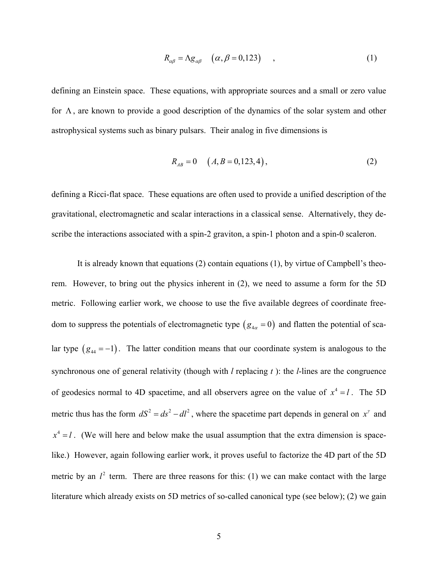$$
R_{\alpha\beta} = \Lambda g_{\alpha\beta} \quad (\alpha, \beta = 0, 123) \quad , \tag{1}
$$

defining an Einstein space. These equations, with appropriate sources and a small or zero value for  $\Lambda$ , are known to provide a good description of the dynamics of the solar system and other astrophysical systems such as binary pulsars. Their analog in five dimensions is

$$
R_{AB} = 0 \quad (A, B = 0, 123, 4), \tag{2}
$$

defining a Ricci-flat space. These equations are often used to provide a unified description of the gravitational, electromagnetic and scalar interactions in a classical sense. Alternatively, they describe the interactions associated with a spin-2 graviton, a spin-1 photon and a spin-0 scaleron.

It is already known that equations (2) contain equations (1), by virtue of Campbell's theorem. However, to bring out the physics inherent in (2), we need to assume a form for the 5D metric. Following earlier work, we choose to use the five available degrees of coordinate freedom to suppress the potentials of electromagnetic type  $(g_{4\alpha} = 0)$  and flatten the potential of scalar type  $(g_{44} = -1)$ . The latter condition means that our coordinate system is analogous to the synchronous one of general relativity (though with *l* replacing *t* ): the *l*-lines are the congruence of geodesics normal to 4D spacetime, and all observers agree on the value of  $x^4 = l$ . The 5D metric thus has the form  $dS^2 = ds^2 - dl^2$ , where the spacetime part depends in general on  $x^{\gamma}$  and  $x^4 = l$ . (We will here and below make the usual assumption that the extra dimension is spacelike.) However, again following earlier work, it proves useful to factorize the 4D part of the 5D metric by an  $l^2$  term. There are three reasons for this: (1) we can make contact with the large literature which already exists on 5D metrics of so-called canonical type (see below); (2) we gain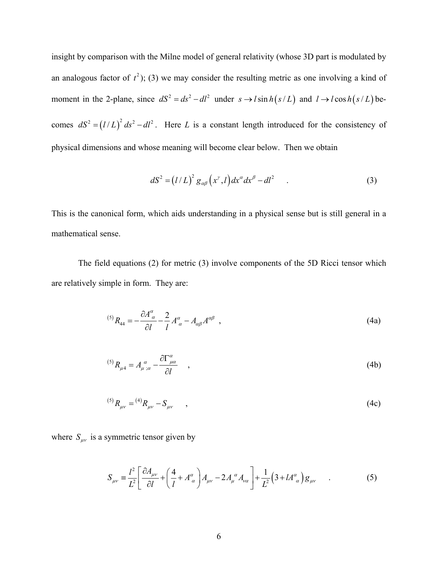insight by comparison with the Milne model of general relativity (whose 3D part is modulated by an analogous factor of  $t^2$ ); (3) we may consider the resulting metric as one involving a kind of moment in the 2-plane, since  $dS^2 = ds^2 - dl^2$  under  $s \to l \sin h(s/L)$  and  $l \to l \cos h(s/L)$  becomes  $dS^2 = (l/L)^2 ds^2 - dl^2$ . Here *L* is a constant length introduced for the consistency of physical dimensions and whose meaning will become clear below. Then we obtain

$$
dS2 = (l/L)2 g\alpha\beta (x\gamma, l) dx\alpha dx\beta - dl2
$$
 (3)

This is the canonical form, which aids understanding in a physical sense but is still general in a mathematical sense.

 The field equations (2) for metric (3) involve components of the 5D Ricci tensor which are relatively simple in form. They are:

$$
^{(5)}R_{44} = -\frac{\partial A^{\alpha}_{\alpha}}{\partial l} - \frac{2}{l} A^{\alpha}_{\alpha} - A_{\alpha\beta} A^{\alpha\beta} \tag{4a}
$$

$$
^{(5)}R_{\mu 4} = A_{\mu \;\; ;\alpha}^{\;\;\alpha} - \frac{\partial \Gamma_{\mu\alpha}^{\alpha}}{\partial l} \qquad , \tag{4b}
$$

$$
^{(5)}R_{\mu\nu} = ^{(4)}R_{\mu\nu} - S_{\mu\nu} \tag{4c}
$$

where  $S_{\mu\nu}$  is a symmetric tensor given by

$$
S_{\mu\nu} \equiv \frac{l^2}{L^2} \left[ \frac{\partial A_{\mu\nu}}{\partial l} + \left( \frac{4}{l} + A^{\alpha}_{\alpha} \right) A_{\mu\nu} - 2 A^{\alpha}_{\mu} A_{\nu\alpha} \right] + \frac{1}{L^2} \left( 3 + l A^{\alpha}_{\alpha} \right) g_{\mu\nu} \quad . \tag{5}
$$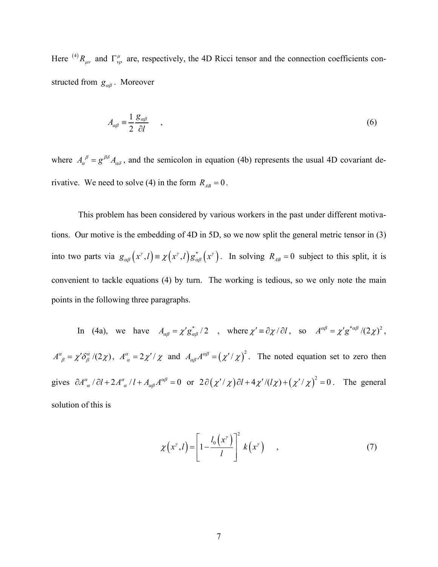Here <sup>(4)</sup>  $R_{\mu\nu}$  and  $\Gamma^{\mu}_{\nu\rho}$  are, respectively, the 4D Ricci tensor and the connection coefficients constructed from *g<sub>αβ</sub>*. Moreover

$$
A_{\alpha\beta} \equiv \frac{1}{2} \frac{g_{\alpha\beta}}{\partial l} \tag{6}
$$

where  $A_{\alpha}^{\ \beta} = g^{\beta\delta} A_{\alpha\delta}$ , and the semicolon in equation (4b) represents the usual 4D covariant derivative. We need to solve (4) in the form  $R_{AB} = 0$ .

This problem has been considered by various workers in the past under different motivations. Our motive is the embedding of 4D in 5D, so we now split the general metric tensor in (3) into two parts via  $g_{\alpha\beta}(x^r, l) = \chi(x^r, l) g_{\alpha\beta}^*(x^r)$ . In solving  $R_{AB} = 0$  subject to this split, it is convenient to tackle equations (4) by turn. The working is tedious, so we only note the main points in the following three paragraphs.

In (4a), we have  $A_{\alpha\beta} = \chi' g_{\alpha\beta}^* / 2$ , where  $\chi' = \partial \chi / \partial l$ , so  $A^{\alpha\beta} = \chi' g^{*\alpha\beta} / (2\chi)^2$ ,  $A^{\alpha}_{\beta} = \chi' \delta^{\alpha}_{\beta} (2\chi)$ ,  $A^{\alpha}_{\alpha} = 2\chi'/\chi$  and  $A_{\alpha\beta}A^{\alpha\beta} = (\chi'/\chi)^2$ . The noted equation set to zero then gives  $\partial A^{\alpha}_{\alpha}/\partial l + 2A^{\alpha}_{\alpha}/l + A_{\alpha\beta}A^{\alpha\beta} = 0$  or  $2\partial (\chi'/\chi)\partial l + 4\chi'/(l\chi) + (\chi'/\chi)^2 = 0$ . The general solution of this is

$$
\chi\left(x^{y},l\right) = \left[1 - \frac{l_{0}\left(x^{y}\right)}{l}\right]^{2} k\left(x^{y}\right) , \qquad (7)
$$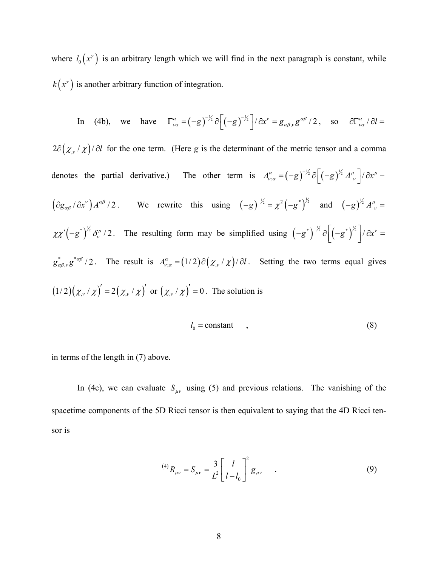where  $l_0(x^{\gamma})$  is an arbitrary length which we will find in the next paragraph is constant, while  $k(x^{\gamma})$  is another arbitrary function of integration.

In (4b), we have 
$$
\Gamma_{\nu\alpha}^{\alpha} = (-g)^{-1/2} \partial \left[ (-g)^{-1/2} \right] / \partial x^{\nu} = g_{\alpha\beta,\nu} g^{\alpha\beta} / 2
$$
, so  $\partial \Gamma_{\nu\alpha}^{\alpha} / \partial l =$ 

 $2\partial(\chi_y/\chi)/\partial l$  for the one term. (Here *g* is the determinant of the metric tensor and a comma denotes the partial derivative.) The other term is  $A_{\nu;\alpha}^{\alpha} = (-g)^{-1/2} \partial \left( (-g)^{1/2} A_{\nu}^{\mu} \right) / \partial x^{\mu}$  $= (-g)^{-1/2} \partial \left[ (-g)^{1/2} A^{\mu}_{\;\;\nu} \right] / \partial x^{\mu} \left(\frac{\partial g_{\alpha\beta}}{\partial x^{\nu}}\right) A^{\alpha\beta}/2$ . We rewrite this using  $\left(-g\right)^{-1/2} = \chi^2 \left(-g^{*}\right)^{1/2}$  and  $\left(-g\right)^{1/2} A^{\mu\nu} =$  $\chi \chi'(-g^*)^{\frac{1}{2}} \delta^{\mu}_v/2$ . The resulting form may be simplified using  $(-g^*)^{-\frac{1}{2}} \partial \left[ (-g^*)^{\frac{1}{2}} \right] / \partial x^{\nu} =$  $g_{\alpha\beta,\nu}^{*} g^{*\alpha\beta}/2$ . The result is  $A_{\nu;\alpha}^{\alpha} = (1/2) \partial (\chi_{,\nu}/\chi)/\partial l$ . Setting the two terms equal gives  $(1/2)(\chi_{y}/\chi)' = 2(\chi_{y}/\chi)'$  or  $(\chi_{y}/\chi)' = 0$ . The solution is

$$
l_0 = \text{constant} \tag{8}
$$

in terms of the length in (7) above.

In (4c), we can evaluate  $S_{\mu\nu}$  using (5) and previous relations. The vanishing of the spacetime components of the 5D Ricci tensor is then equivalent to saying that the 4D Ricci tensor is

$$
^{(4)}R_{\mu\nu} = S_{\mu\nu} = \frac{3}{L^2} \left[ \frac{l}{l - l_0} \right]^2 g_{\mu\nu} \qquad . \tag{9}
$$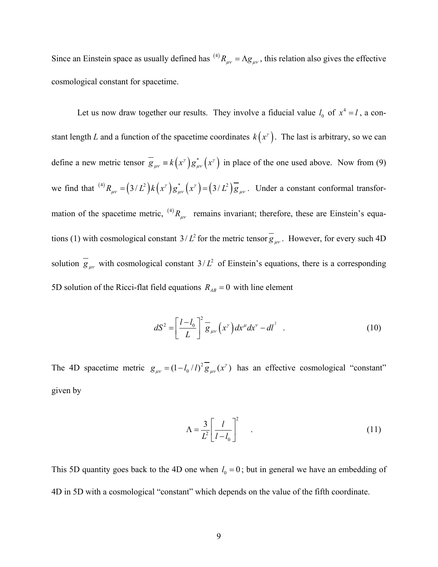Since an Einstein space as usually defined has <sup>(4)</sup>  $R_{\mu\nu} = \Lambda g_{\mu\nu}$ , this relation also gives the effective cosmological constant for spacetime.

Let us now draw together our results. They involve a fiducial value  $l_0$  of  $x^4 = l$ , a constant length *L* and a function of the spacetime coordinates  $k(x^{\gamma})$ . The last is arbitrary, so we can define a new metric tensor  $\overline{g}_{\mu\nu} = k(x^{\gamma}) g_{\mu\nu}^*(x^{\gamma})$  in place of the one used above. Now from (9) we find that  $^{(4)}R_{\mu\nu} = (3/L^2)k(x^{\nu})g^*_{\mu\nu}(x^{\nu}) = (3/L^2)\overline{g}_{\mu\nu}$ . Under a constant conformal transformation of the spacetime metric, <sup>(4)</sup> $R_{\mu\nu}$  remains invariant; therefore, these are Einstein's equations (1) with cosmological constant  $3/L^2$  for the metric tensor  $g_{\mu\nu}$ . However, for every such 4D solution  $\overline{g}_{\mu\nu}$  with cosmological constant  $3/L^2$  of Einstein's equations, there is a corresponding 5D solution of the Ricci-flat field equations  $R_{AB} = 0$  with line element

$$
dS^{2} = \left[\frac{l-l_{0}}{L}\right]^{2} \overline{g}_{\mu\nu}\left(x^{\nu}\right)dx^{\mu}dx^{\nu} - dl^{2} \quad . \tag{10}
$$

The 4D spacetime metric  $g_{\mu\nu} = (1 - l_0 / l)^2 \overline{g}_{\mu\nu}(x^{\nu})$  has an effective cosmological "constant" given by

$$
\Lambda = \frac{3}{L^2} \left[ \frac{l}{l - l_0} \right]^2 \tag{11}
$$

This 5D quantity goes back to the 4D one when  $l_0 = 0$ ; but in general we have an embedding of 4D in 5D with a cosmological "constant" which depends on the value of the fifth coordinate.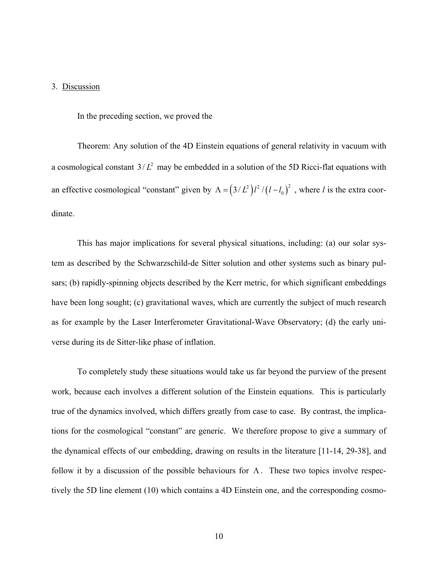### 3. Discussion

In the preceding section, we proved the

Theorem: Any solution of the 4D Einstein equations of general relativity in vacuum with a cosmological constant  $3/L^2$  may be embedded in a solution of the 5D Ricci-flat equations with an effective cosmological "constant" given by  $\Lambda = (3/L^2)l^2 / (l - l_0)^2$ , where *l* is the extra coordinate.

This has major implications for several physical situations, including: (a) our solar system as described by the Schwarzschild-de Sitter solution and other systems such as binary pulsars; (b) rapidly-spinning objects described by the Kerr metric, for which significant embeddings have been long sought; (c) gravitational waves, which are currently the subject of much research as for example by the Laser Interferometer Gravitational-Wave Observatory; (d) the early universe during its de Sitter-like phase of inflation.

To completely study these situations would take us far beyond the purview of the present work, because each involves a different solution of the Einstein equations. This is particularly true of the dynamics involved, which differs greatly from case to case. By contrast, the implications for the cosmological "constant" are generic. We therefore propose to give a summary of the dynamical effects of our embedding, drawing on results in the literature [11-14, 29-38], and follow it by a discussion of the possible behaviours for  $\Lambda$ . These two topics involve respectively the 5D line element (10) which contains a 4D Einstein one, and the corresponding cosmo-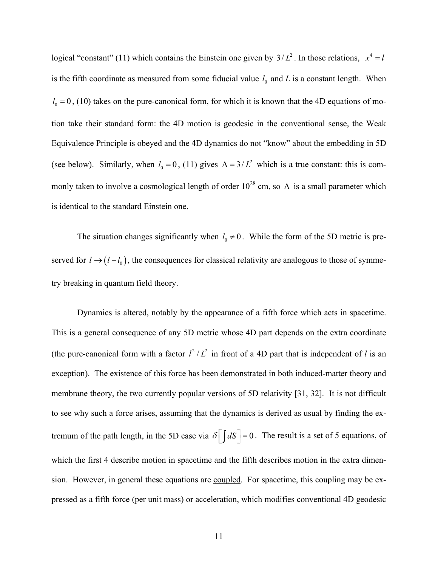logical "constant" (11) which contains the Einstein one given by  $3/L^2$ . In those relations,  $x^4 = l$ is the fifth coordinate as measured from some fiducial value  $l_0$  and  $L$  is a constant length. When  $l_0 = 0$ , (10) takes on the pure-canonical form, for which it is known that the 4D equations of motion take their standard form: the 4D motion is geodesic in the conventional sense, the Weak Equivalence Principle is obeyed and the 4D dynamics do not "know" about the embedding in 5D (see below). Similarly, when  $l_0 = 0$ , (11) gives  $\Lambda = 3/L^2$  which is a true constant: this is commonly taken to involve a cosmological length of order  $10^{28}$  cm, so  $\Lambda$  is a small parameter which is identical to the standard Einstein one.

The situation changes significantly when  $l_0 \neq 0$ . While the form of the 5D metric is preserved for  $l \rightarrow (l - l_0)$ , the consequences for classical relativity are analogous to those of symmetry breaking in quantum field theory.

Dynamics is altered, notably by the appearance of a fifth force which acts in spacetime. This is a general consequence of any 5D metric whose 4D part depends on the extra coordinate (the pure-canonical form with a factor  $l^2/L^2$  in front of a 4D part that is independent of *l* is an exception). The existence of this force has been demonstrated in both induced-matter theory and membrane theory, the two currently popular versions of 5D relativity [31, 32]. It is not difficult to see why such a force arises, assuming that the dynamics is derived as usual by finding the extremum of the path length, in the 5D case via  $\delta \left[ \int dS \right] = 0$ . The result is a set of 5 equations, of which the first 4 describe motion in spacetime and the fifth describes motion in the extra dimension. However, in general these equations are coupled. For spacetime, this coupling may be expressed as a fifth force (per unit mass) or acceleration, which modifies conventional 4D geodesic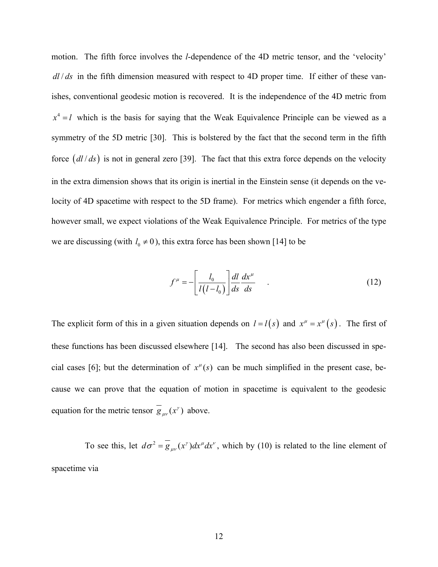motion. The fifth force involves the *l*-dependence of the 4D metric tensor, and the 'velocity' *dl / ds* in the fifth dimension measured with respect to 4D proper time. If either of these vanishes, conventional geodesic motion is recovered. It is the independence of the 4D metric from  $x^4 = l$  which is the basis for saying that the Weak Equivalence Principle can be viewed as a symmetry of the 5D metric [30]. This is bolstered by the fact that the second term in the fifth force  $\left(\frac{dl}{ds}\right)$  is not in general zero [39]. The fact that this extra force depends on the velocity in the extra dimension shows that its origin is inertial in the Einstein sense (it depends on the velocity of 4D spacetime with respect to the 5D frame). For metrics which engender a fifth force, however small, we expect violations of the Weak Equivalence Principle. For metrics of the type we are discussing (with  $l_0 \neq 0$ ), this extra force has been shown [14] to be

$$
f^{\mu} = -\left[\frac{l_0}{l(l-l_0)}\right] \frac{dl}{ds} \frac{dx^{\mu}}{ds} \qquad (12)
$$

The explicit form of this in a given situation depends on  $l = l(s)$  and  $x^{\mu} = x^{\mu}(s)$ . The first of these functions has been discussed elsewhere [14]. The second has also been discussed in special cases [6]; but the determination of  $x^{\mu}(s)$  can be much simplified in the present case, because we can prove that the equation of motion in spacetime is equivalent to the geodesic equation for the metric tensor  $g_{\mu\nu}(x^{\gamma})$  above.

To see this, let  $d\sigma^2 = g_{\mu\nu}(x^{\nu})dx^{\mu}dx^{\nu}$ , which by (10) is related to the line element of spacetime via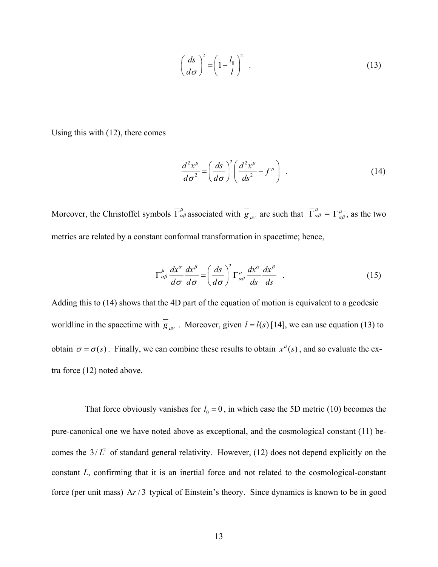$$
\left(\frac{ds}{d\sigma}\right)^2 = \left(1 - \frac{l_0}{l}\right)^2 \tag{13}
$$

Using this with (12), there comes

$$
\frac{d^2x^{\mu}}{d\sigma^2} = \left(\frac{ds}{d\sigma}\right)^2 \left(\frac{d^2x^{\mu}}{ds^2} - f^{\mu}\right) \tag{14}
$$

Moreover, the Christoffel symbols  $\overline{\Gamma}^{\mu}_{\alpha\beta}$  associated with  $\overline{g}_{\mu\nu}$  are such that  $\overline{\Gamma}^{\mu}_{\alpha\beta} = \Gamma^{\mu}_{\alpha\beta}$ , as the two metrics are related by a constant conformal transformation in spacetime; hence,

$$
\overline{\Gamma}^{\mu}_{\alpha\beta} \frac{dx^{\alpha}}{d\sigma} \frac{dx^{\beta}}{d\sigma} = \left(\frac{ds}{d\sigma}\right)^2 \Gamma^{\mu}_{\alpha\beta} \frac{dx^{\alpha}}{ds} \frac{dx^{\beta}}{ds} . \qquad (15)
$$

Adding this to (14) shows that the 4D part of the equation of motion is equivalent to a geodesic worldline in the spacetime with  $g_{\mu\nu}$ . Moreover, given  $l = l(s)$  [14], we can use equation (13) to obtain  $\sigma = \sigma(s)$ . Finally, we can combine these results to obtain  $x^{\mu}(s)$ , and so evaluate the extra force (12) noted above.

That force obviously vanishes for  $l_0 = 0$ , in which case the 5D metric (10) becomes the pure-canonical one we have noted above as exceptional, and the cosmological constant (11) becomes the  $3/L^2$  of standard general relativity. However, (12) does not depend explicitly on the constant *L*, confirming that it is an inertial force and not related to the cosmological-constant force (per unit mass) Λ*r* / 3 typical of Einstein's theory. Since dynamics is known to be in good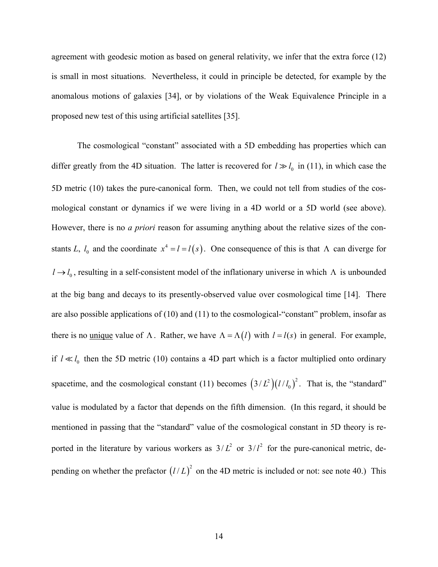agreement with geodesic motion as based on general relativity, we infer that the extra force (12) is small in most situations. Nevertheless, it could in principle be detected, for example by the anomalous motions of galaxies [34], or by violations of the Weak Equivalence Principle in a proposed new test of this using artificial satellites [35].

The cosmological "constant" associated with a 5D embedding has properties which can differ greatly from the 4D situation. The latter is recovered for  $l \gg l_0$  in (11), in which case the 5D metric (10) takes the pure-canonical form. Then, we could not tell from studies of the cosmological constant or dynamics if we were living in a 4D world or a 5D world (see above). However, there is no *a priori* reason for assuming anything about the relative sizes of the constants *L*,  $l_0$  and the coordinate  $x^4 = l = l(s)$ . One consequence of this is that  $\Lambda$  can diverge for  $l \rightarrow l_0$ , resulting in a self-consistent model of the inflationary universe in which  $\Lambda$  is unbounded at the big bang and decays to its presently-observed value over cosmological time [14]. There are also possible applications of (10) and (11) to the cosmological-"constant" problem, insofar as there is no <u>unique</u> value of  $\Lambda$ . Rather, we have  $\Lambda = \Lambda(l)$  with  $l = l(s)$  in general. For example, if  $l \ll l_0$  then the 5D metric (10) contains a 4D part which is a factor multiplied onto ordinary spacetime, and the cosmological constant (11) becomes  $(3/L^2)(1/l_0)^2$ . That is, the "standard" value is modulated by a factor that depends on the fifth dimension. (In this regard, it should be mentioned in passing that the "standard" value of the cosmological constant in 5D theory is reported in the literature by various workers as  $3/L^2$  or  $3/l^2$  for the pure-canonical metric, depending on whether the prefactor  $(l/L)^2$  on the 4D metric is included or not: see note 40.) This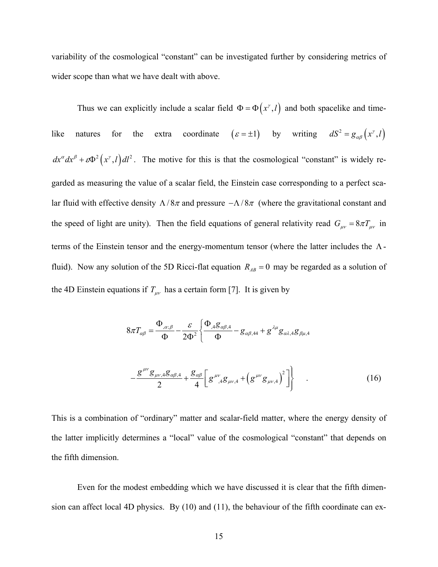variability of the cosmological "constant" can be investigated further by considering metrics of wider scope than what we have dealt with above.

Thus we can explicitly include a scalar field  $\Phi = \Phi(x^{\gamma}, l)$  and both spacelike and timelike natures for the extra coordinate  $(\varepsilon = \pm 1)$  by writing  $dS^2 = g_{\alpha\beta}(x^{\gamma}, l)$  $dx^{\alpha} dx^{\beta} + \varepsilon \Phi^{2}(x^{\gamma}, l) dl^{2}$ . The motive for this is that the cosmological "constant" is widely regarded as measuring the value of a scalar field, the Einstein case corresponding to a perfect scalar fluid with effective density  $\Lambda/8\pi$  and pressure  $-\Lambda/8\pi$  (where the gravitational constant and the speed of light are unity). Then the field equations of general relativity read  $G_{\mu\nu} = 8\pi T_{\mu\nu}$  in terms of the Einstein tensor and the energy-momentum tensor (where the latter includes the  $\Lambda$ fluid). Now any solution of the 5D Ricci-flat equation  $R_{AB} = 0$  may be regarded as a solution of the 4D Einstein equations if  $T_{\mu\nu}$  has a certain form [7]. It is given by

$$
8\pi T_{\alpha\beta} = \frac{\Phi_{,\alpha;\beta}}{\Phi} - \frac{\varepsilon}{2\Phi^2} \left\{ \frac{\Phi_{,4}g_{\alpha\beta,4}}{\Phi} - g_{\alpha\beta,44} + g^{\lambda\mu}g_{\alpha\lambda,4}g_{\beta\mu,4} \right\}
$$

$$
- \frac{g^{\mu\nu}g_{\mu\nu,4}g_{\alpha\beta,4}}{2} + \frac{g_{\alpha\beta}}{4} \left[ g^{\mu\nu}_{\quad,4}g_{\mu\nu,4} + \left( g^{\mu\nu}g_{\mu\nu,4} \right)^2 \right] \right\} \quad . \tag{16}
$$

This is a combination of "ordinary" matter and scalar-field matter, where the energy density of the latter implicitly determines a "local" value of the cosmological "constant" that depends on the fifth dimension.

Even for the modest embedding which we have discussed it is clear that the fifth dimension can affect local 4D physics. By (10) and (11), the behaviour of the fifth coordinate can ex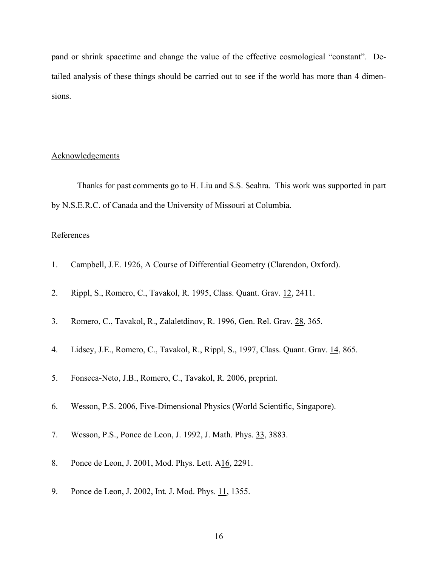pand or shrink spacetime and change the value of the effective cosmological "constant". Detailed analysis of these things should be carried out to see if the world has more than 4 dimensions.

## Acknowledgements

Thanks for past comments go to H. Liu and S.S. Seahra. This work was supported in part by N.S.E.R.C. of Canada and the University of Missouri at Columbia.

### **References**

- 1. Campbell, J.E. 1926, A Course of Differential Geometry (Clarendon, Oxford).
- 2. Rippl, S., Romero, C., Tavakol, R. 1995, Class. Quant. Grav. 12, 2411.
- 3. Romero, C., Tavakol, R., Zalaletdinov, R. 1996, Gen. Rel. Grav. 28, 365.
- 4. Lidsey, J.E., Romero, C., Tavakol, R., Rippl, S., 1997, Class. Quant. Grav. 14, 865.
- 5. Fonseca-Neto, J.B., Romero, C., Tavakol, R. 2006, preprint.
- 6. Wesson, P.S. 2006, Five-Dimensional Physics (World Scientific, Singapore).
- 7. Wesson, P.S., Ponce de Leon, J. 1992, J. Math. Phys. 33, 3883.
- 8. Ponce de Leon, J. 2001, Mod. Phys. Lett. A16, 2291.
- 9. Ponce de Leon, J. 2002, Int. J. Mod. Phys. 11, 1355.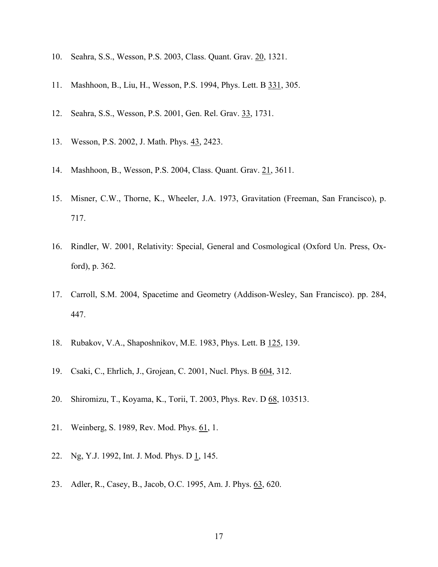- 10. Seahra, S.S., Wesson, P.S. 2003, Class. Quant. Grav. 20, 1321.
- 11. Mashhoon, B., Liu, H., Wesson, P.S. 1994, Phys. Lett. B 331, 305.
- 12. Seahra, S.S., Wesson, P.S. 2001, Gen. Rel. Grav. 33, 1731.
- 13. Wesson, P.S. 2002, J. Math. Phys. 43, 2423.
- 14. Mashhoon, B., Wesson, P.S. 2004, Class. Quant. Grav. 21, 3611.
- 15. Misner, C.W., Thorne, K., Wheeler, J.A. 1973, Gravitation (Freeman, San Francisco), p. 717.
- 16. Rindler, W. 2001, Relativity: Special, General and Cosmological (Oxford Un. Press, Oxford), p. 362.
- 17. Carroll, S.M. 2004, Spacetime and Geometry (Addison-Wesley, San Francisco). pp. 284, 447.
- 18. Rubakov, V.A., Shaposhnikov, M.E. 1983, Phys. Lett. B 125, 139.
- 19. Csaki, C., Ehrlich, J., Grojean, C. 2001, Nucl. Phys. B 604, 312.
- 20. Shiromizu, T., Koyama, K., Torii, T. 2003, Phys. Rev. D 68, 103513.
- 21. Weinberg, S. 1989, Rev. Mod. Phys. 61, 1.
- 22. Ng, Y.J. 1992, Int. J. Mod. Phys. D 1, 145.
- 23. Adler, R., Casey, B., Jacob, O.C. 1995, Am. J. Phys. 63, 620.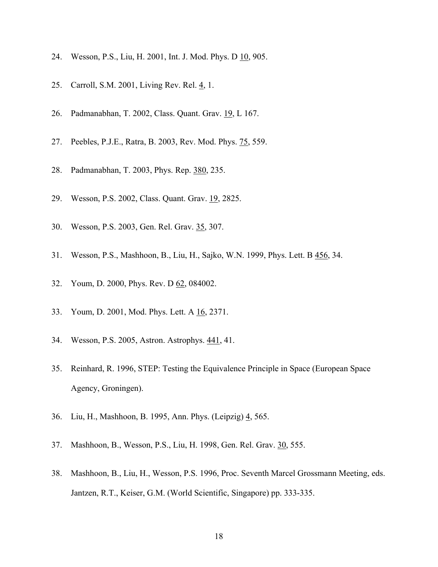- 24. Wesson, P.S., Liu, H. 2001, Int. J. Mod. Phys. D 10, 905.
- 25. Carroll, S.M. 2001, Living Rev. Rel. 4, 1.
- 26. Padmanabhan, T. 2002, Class. Quant. Grav. 19, L 167.
- 27. Peebles, P.J.E., Ratra, B. 2003, Rev. Mod. Phys. 75, 559.
- 28. Padmanabhan, T. 2003, Phys. Rep. 380, 235.
- 29. Wesson, P.S. 2002, Class. Quant. Grav. 19, 2825.
- 30. Wesson, P.S. 2003, Gen. Rel. Grav. 35, 307.
- 31. Wesson, P.S., Mashhoon, B., Liu, H., Sajko, W.N. 1999, Phys. Lett. B 456, 34.
- 32. Youm, D. 2000, Phys. Rev. D 62, 084002.
- 33. Youm, D. 2001, Mod. Phys. Lett. A 16, 2371.
- 34. Wesson, P.S. 2005, Astron. Astrophys. 441, 41.
- 35. Reinhard, R. 1996, STEP: Testing the Equivalence Principle in Space (European Space Agency, Groningen).
- 36. Liu, H., Mashhoon, B. 1995, Ann. Phys. (Leipzig) 4, 565.
- 37. Mashhoon, B., Wesson, P.S., Liu, H. 1998, Gen. Rel. Grav. 30, 555.
- 38. Mashhoon, B., Liu, H., Wesson, P.S. 1996, Proc. Seventh Marcel Grossmann Meeting, eds. Jantzen, R.T., Keiser, G.M. (World Scientific, Singapore) pp. 333-335.